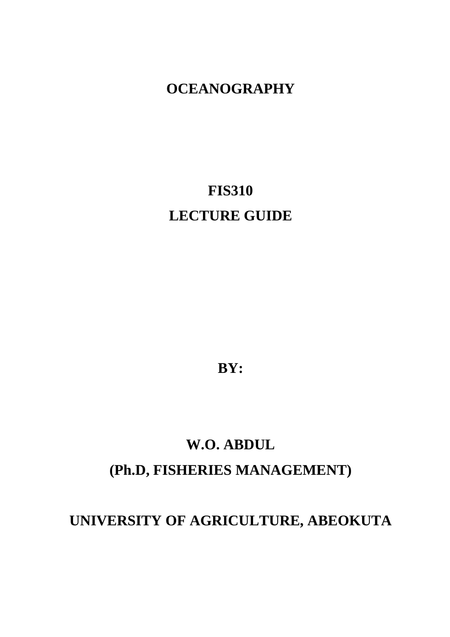# **OCEANOGRAPHY**

# **FIS310 LECTURE GUIDE**

**BY:** 

# **W.O. ABDUL (Ph.D, FISHERIES MANAGEMENT)**

# **UNIVERSITY OF AGRICULTURE, ABEOKUTA**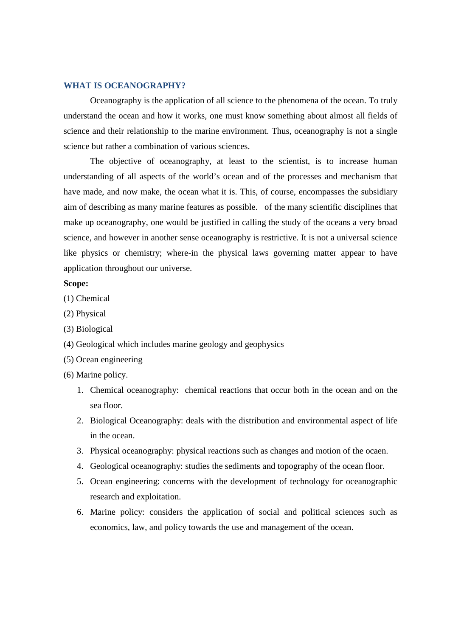#### **WHAT IS OCEANOGRAPHY?**

Oceanography is the application of all science to the phenomena of the ocean. To truly understand the ocean and how it works, one must know something about almost all fields of science and their relationship to the marine environment. Thus, oceanography is not a single science but rather a combination of various sciences.

 The objective of oceanography, at least to the scientist, is to increase human understanding of all aspects of the world's ocean and of the processes and mechanism that have made, and now make, the ocean what it is. This, of course, encompasses the subsidiary aim of describing as many marine features as possible. of the many scientific disciplines that make up oceanography, one would be justified in calling the study of the oceans a very broad science, and however in another sense oceanography is restrictive. It is not a universal science like physics or chemistry; where-in the physical laws governing matter appear to have application throughout our universe.

#### **Scope:**

- (1) Chemical
- (2) Physical
- (3) Biological
- (4) Geological which includes marine geology and geophysics
- (5) Ocean engineering
- (6) Marine policy.
	- 1. Chemical oceanography: chemical reactions that occur both in the ocean and on the sea floor.
	- 2. Biological Oceanography: deals with the distribution and environmental aspect of life in the ocean.
	- 3. Physical oceanography: physical reactions such as changes and motion of the ocaen.
	- 4. Geological oceanography: studies the sediments and topography of the ocean floor.
	- 5. Ocean engineering: concerns with the development of technology for oceanographic research and exploitation.
	- 6. Marine policy: considers the application of social and political sciences such as economics, law, and policy towards the use and management of the ocean.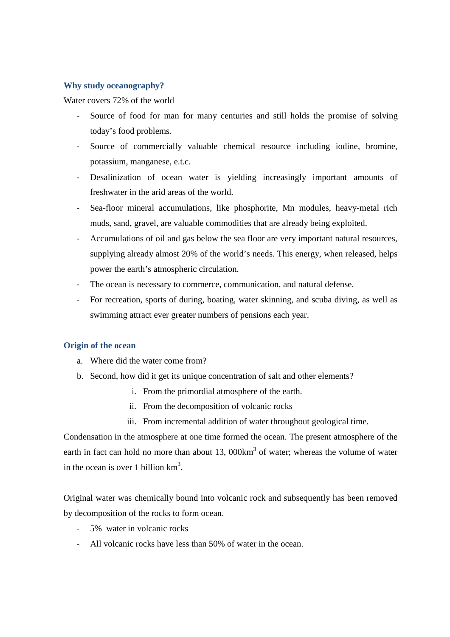## **Why study oceanography?**

Water covers 72% of the world

- Source of food for man for many centuries and still holds the promise of solving today's food problems.
- Source of commercially valuable chemical resource including iodine, bromine, potassium, manganese, e.t.c.
- Desalinization of ocean water is yielding increasingly important amounts of freshwater in the arid areas of the world.
- Sea-floor mineral accumulations, like phosphorite, Mn modules, heavy-metal rich muds, sand, gravel, are valuable commodities that are already being exploited.
- Accumulations of oil and gas below the sea floor are very important natural resources, supplying already almost 20% of the world's needs. This energy, when released, helps power the earth's atmospheric circulation.
- The ocean is necessary to commerce, communication, and natural defense.
- For recreation, sports of during, boating, water skinning, and scuba diving, as well as swimming attract ever greater numbers of pensions each year.

# **Origin of the ocean**

- a. Where did the water come from?
- b. Second, how did it get its unique concentration of salt and other elements?
	- i. From the primordial atmosphere of the earth.
	- ii. From the decomposition of volcanic rocks
	- iii. From incremental addition of water throughout geological time.

Condensation in the atmosphere at one time formed the ocean. The present atmosphere of the earth in fact can hold no more than about 13,  $000 \text{km}^3$  of water; whereas the volume of water in the ocean is over 1 billion  $km<sup>3</sup>$ .

Original water was chemically bound into volcanic rock and subsequently has been removed by decomposition of the rocks to form ocean.

- 5% water in volcanic rocks
- All volcanic rocks have less than 50% of water in the ocean.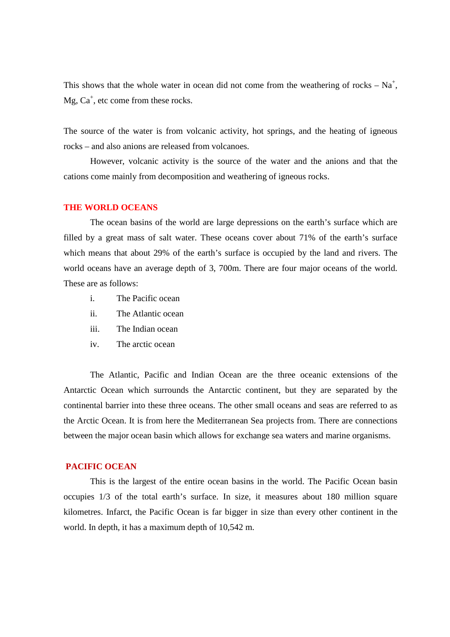This shows that the whole water in ocean did not come from the weathering of rocks –  $Na<sup>+</sup>$ ,  $Mg, Ca<sup>+</sup>, etc$  come from these rocks.

The source of the water is from volcanic activity, hot springs, and the heating of igneous rocks – and also anions are released from volcanoes.

 However, volcanic activity is the source of the water and the anions and that the cations come mainly from decomposition and weathering of igneous rocks.

#### **THE WORLD OCEANS**

 The ocean basins of the world are large depressions on the earth's surface which are filled by a great mass of salt water. These oceans cover about 71% of the earth's surface which means that about 29% of the earth's surface is occupied by the land and rivers. The world oceans have an average depth of 3, 700m. There are four major oceans of the world. These are as follows:

- i. The Pacific ocean
- ii. The Atlantic ocean
- iii. The Indian ocean
- iv. The arctic ocean

The Atlantic, Pacific and Indian Ocean are the three oceanic extensions of the Antarctic Ocean which surrounds the Antarctic continent, but they are separated by the continental barrier into these three oceans. The other small oceans and seas are referred to as the Arctic Ocean. It is from here the Mediterranean Sea projects from. There are connections between the major ocean basin which allows for exchange sea waters and marine organisms.

#### **PACIFIC OCEAN**

This is the largest of the entire ocean basins in the world. The Pacific Ocean basin occupies 1/3 of the total earth's surface. In size, it measures about 180 million square kilometres. Infarct, the Pacific Ocean is far bigger in size than every other continent in the world. In depth, it has a maximum depth of 10,542 m.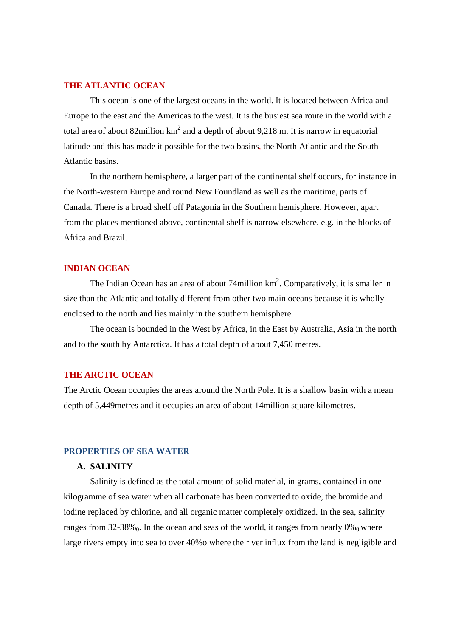#### **THE ATLANTIC OCEAN**

This ocean is one of the largest oceans in the world. It is located between Africa and Europe to the east and the Americas to the west. It is the busiest sea route in the world with a total area of about 82million  $km^2$  and a depth of about 9,218 m. It is narrow in equatorial latitude and this has made it possible for the two basins, the North Atlantic and the South Atlantic basins.

 In the northern hemisphere, a larger part of the continental shelf occurs, for instance in the North-western Europe and round New Foundland as well as the maritime, parts of Canada. There is a broad shelf off Patagonia in the Southern hemisphere. However, apart from the places mentioned above, continental shelf is narrow elsewhere. e.g. in the blocks of Africa and Brazil.

#### **INDIAN OCEAN**

The Indian Ocean has an area of about 74 million  $km^2$ . Comparatively, it is smaller in size than the Atlantic and totally different from other two main oceans because it is wholly enclosed to the north and lies mainly in the southern hemisphere.

The ocean is bounded in the West by Africa, in the East by Australia, Asia in the north and to the south by Antarctica. It has a total depth of about 7,450 metres.

#### **THE ARCTIC OCEAN**

The Arctic Ocean occupies the areas around the North Pole. It is a shallow basin with a mean depth of 5,449metres and it occupies an area of about 14million square kilometres.

#### **PROPERTIES OF SEA WATER**

#### **A. SALINITY**

Salinity is defined as the total amount of solid material, in grams, contained in one kilogramme of sea water when all carbonate has been converted to oxide, the bromide and iodine replaced by chlorine, and all organic matter completely oxidized. In the sea, salinity ranges from 32-38% $_0$ . In the ocean and seas of the world, it ranges from nearly  $0\%_0$  where large rivers empty into sea to over 40%o where the river influx from the land is negligible and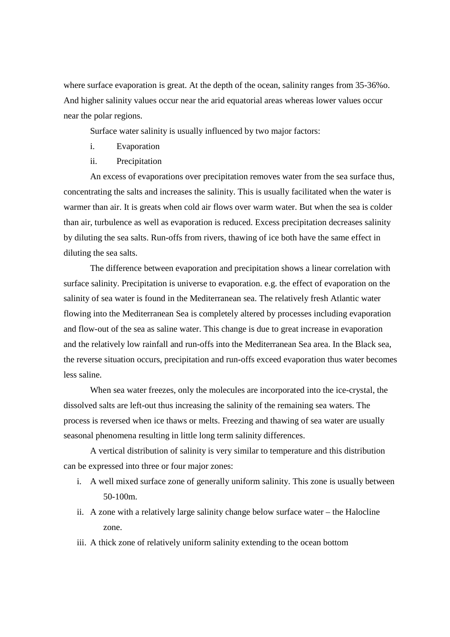where surface evaporation is great. At the depth of the ocean, salinity ranges from 35-36%o. And higher salinity values occur near the arid equatorial areas whereas lower values occur near the polar regions.

Surface water salinity is usually influenced by two major factors:

- i. Evaporation
- ii. Precipitation

An excess of evaporations over precipitation removes water from the sea surface thus, concentrating the salts and increases the salinity. This is usually facilitated when the water is warmer than air. It is greats when cold air flows over warm water. But when the sea is colder than air, turbulence as well as evaporation is reduced. Excess precipitation decreases salinity by diluting the sea salts. Run-offs from rivers, thawing of ice both have the same effect in diluting the sea salts.

The difference between evaporation and precipitation shows a linear correlation with surface salinity. Precipitation is universe to evaporation. e.g. the effect of evaporation on the salinity of sea water is found in the Mediterranean sea. The relatively fresh Atlantic water flowing into the Mediterranean Sea is completely altered by processes including evaporation and flow-out of the sea as saline water. This change is due to great increase in evaporation and the relatively low rainfall and run-offs into the Mediterranean Sea area. In the Black sea, the reverse situation occurs, precipitation and run-offs exceed evaporation thus water becomes less saline.

When sea water freezes, only the molecules are incorporated into the ice-crystal, the dissolved salts are left-out thus increasing the salinity of the remaining sea waters. The process is reversed when ice thaws or melts. Freezing and thawing of sea water are usually seasonal phenomena resulting in little long term salinity differences.

A vertical distribution of salinity is very similar to temperature and this distribution can be expressed into three or four major zones:

- i. A well mixed surface zone of generally uniform salinity. This zone is usually between 50-100m.
- ii. A zone with a relatively large salinity change below surface water the Halocline zone.
- iii. A thick zone of relatively uniform salinity extending to the ocean bottom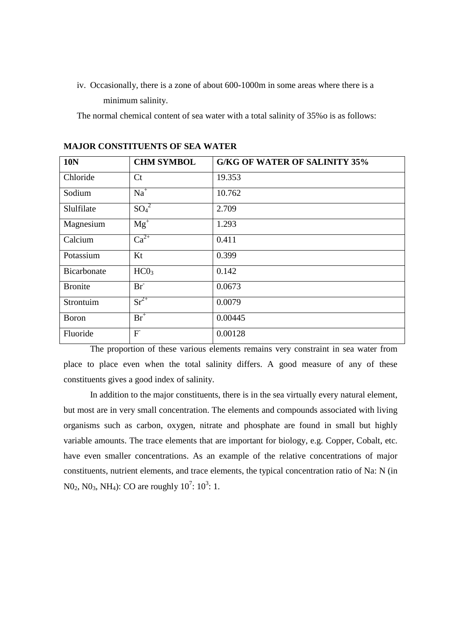iv. Occasionally, there is a zone of about 600-1000m in some areas where there is a minimum salinity.

The normal chemical content of sea water with a total salinity of 35%o is as follows:

| <b>10N</b>     | <b>CHM SYMBOL</b> | <b>G/KG OF WATER OF SALINITY 35%</b> |
|----------------|-------------------|--------------------------------------|
| Chloride       | C <sub>t</sub>    | 19.353                               |
| Sodium         | $Na+$             | 10.762                               |
| Slulfilate     | $SO_4^2$          | 2.709                                |
| Magnesium      | $Mg^+$            | 1.293                                |
| Calcium        | $Ca^{2+}$         | 0.411                                |
| Potassium      | Kt                | 0.399                                |
| Bicarbonate    | HC0 <sub>3</sub>  | 0.142                                |
| <b>Bronite</b> | $Br^-$            | 0.0673                               |
| Strontuim      | $Sr^{2+}$         | 0.0079                               |
| <b>Boron</b>   | $\overline{Br}^+$ | 0.00445                              |
| Fluoride       | F                 | 0.00128                              |

**MAJOR CONSTITUENTS OF SEA WATER** 

 The proportion of these various elements remains very constraint in sea water from place to place even when the total salinity differs. A good measure of any of these constituents gives a good index of salinity.

 In addition to the major constituents, there is in the sea virtually every natural element, but most are in very small concentration. The elements and compounds associated with living organisms such as carbon, oxygen, nitrate and phosphate are found in small but highly variable amounts. The trace elements that are important for biology, e.g. Copper, Cobalt, etc. have even smaller concentrations. As an example of the relative concentrations of major constituents, nutrient elements, and trace elements, the typical concentration ratio of Na: N (in  $N0_2$ ,  $N0_3$ ,  $NH_4$ ): CO are roughly  $10^7$ :  $10^3$ : 1.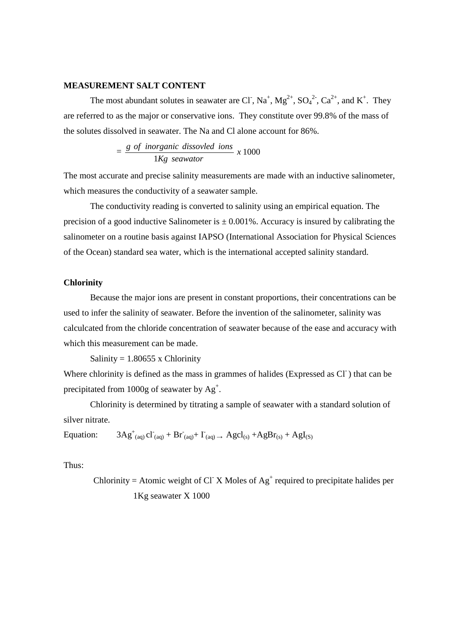#### **MEASUREMENT SALT CONTENT**

The most abundant solutes in seawater are Cl<sup>-</sup>, Na<sup>+</sup>, Mg<sup>2+</sup>, SO<sub>4</sub><sup>2-</sup>, Ca<sup>2+</sup>, and K<sup>+</sup>. They are referred to as the major or conservative ions. They constitute over 99.8% of the mass of the solutes dissolved in seawater. The Na and Cl alone account for 86%.

 $=\frac{80 \text{ m} \cdot \text{s}}{4 \pi} \times 1000$ 1 *x Kg seawator ofg inorganic dissovled ions*

The most accurate and precise salinity measurements are made with an inductive salinometer, which measures the conductivity of a seawater sample.

 The conductivity reading is converted to salinity using an empirical equation. The precision of a good inductive Salinometer is  $\pm$  0.001%. Accuracy is insured by calibrating the salinometer on a routine basis against IAPSO (International Association for Physical Sciences of the Ocean) standard sea water, which is the international accepted salinity standard.

#### **Chlorinity**

Because the major ions are present in constant proportions, their concentrations can be used to infer the salinity of seawater. Before the invention of the salinometer, salinity was calculcated from the chloride concentration of seawater because of the ease and accuracy with which this measurement can be made.

Salinity =  $1.80655$  x Chlorinity

Where chlorinity is defined as the mass in grammes of halides (Expressed as Cl<sup>-</sup>) that can be precipitated from 1000g of seawater by  $Ag^+$ .

 Chlorinity is determined by titrating a sample of seawater with a standard solution of silver nitrate.

Equation:  $\log_{(aq)} c l_{(aq)} + B r_{(aq)} + I_{(aq)} \rightarrow Agcl_{(s)} + AgBr_{(s)} + AgI_{(s)}$ 

Thus:

Chlorinity = Atomic weight of Cl X Moles of  $Ag<sup>+</sup>$  required to precipitate halides per 1Kg seawater X 1000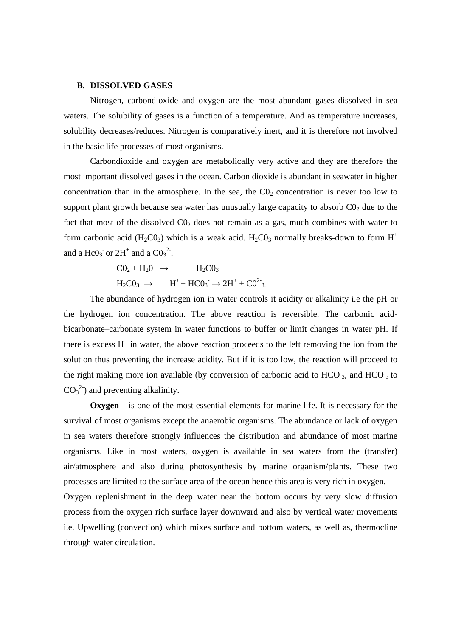#### **B. DISSOLVED GASES**

Nitrogen, carbondioxide and oxygen are the most abundant gases dissolved in sea waters. The solubility of gases is a function of a temperature. And as temperature increases, solubility decreases/reduces. Nitrogen is comparatively inert, and it is therefore not involved in the basic life processes of most organisms.

Carbondioxide and oxygen are metabolically very active and they are therefore the most important dissolved gases in the ocean. Carbon dioxide is abundant in seawater in higher concentration than in the atmosphere. In the sea, the  $CO<sub>2</sub>$  concentration is never too low to support plant growth because sea water has unusually large capacity to absorb  $C_0$  due to the fact that most of the dissolved  $CO<sub>2</sub>$  does not remain as a gas, much combines with water to form carbonic acid (H<sub>2</sub>C0<sub>3</sub>) which is a weak acid. H<sub>2</sub>C0<sub>3</sub> normally breaks-down to form H<sup>+</sup> and a  $HeO_3$  or  $2H^+$  and a  $CO_3^2$ .

$$
CO2 + H2O \rightarrow H2CO3
$$
  
H<sub>2</sub>CO<sub>3</sub> \rightarrow H<sup>+</sup> + HCO<sub>3</sub><sup>-</sup> \rightarrow 2H<sup>+</sup> + CO<sup>2-</sup><sub>3</sub>.

The abundance of hydrogen ion in water controls it acidity or alkalinity i.e the pH or the hydrogen ion concentration. The above reaction is reversible. The carbonic acidbicarbonate–carbonate system in water functions to buffer or limit changes in water pH. If there is excess  $H^+$  in water, the above reaction proceeds to the left removing the ion from the solution thus preventing the increase acidity. But if it is too low, the reaction will proceed to the right making more ion available (by conversion of carbonic acid to  $HCO_3$ , and  $HCO_3$  to  $CO<sub>3</sub><sup>2</sup>$ ) and preventing alkalinity.

**Oxygen** – is one of the most essential elements for marine life. It is necessary for the survival of most organisms except the anaerobic organisms. The abundance or lack of oxygen in sea waters therefore strongly influences the distribution and abundance of most marine organisms. Like in most waters, oxygen is available in sea waters from the (transfer) air/atmosphere and also during photosynthesis by marine organism/plants. These two processes are limited to the surface area of the ocean hence this area is very rich in oxygen.

Oxygen replenishment in the deep water near the bottom occurs by very slow diffusion process from the oxygen rich surface layer downward and also by vertical water movements i.e. Upwelling (convection) which mixes surface and bottom waters, as well as, thermocline through water circulation.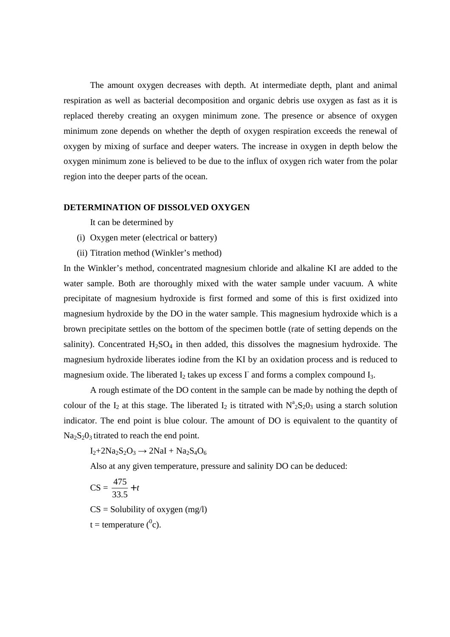The amount oxygen decreases with depth. At intermediate depth, plant and animal respiration as well as bacterial decomposition and organic debris use oxygen as fast as it is replaced thereby creating an oxygen minimum zone. The presence or absence of oxygen minimum zone depends on whether the depth of oxygen respiration exceeds the renewal of oxygen by mixing of surface and deeper waters. The increase in oxygen in depth below the oxygen minimum zone is believed to be due to the influx of oxygen rich water from the polar region into the deeper parts of the ocean.

#### **DETERMINATION OF DISSOLVED OXYGEN**

It can be determined by

- (i) Oxygen meter (electrical or battery)
- (ii) Titration method (Winkler's method)

In the Winkler's method, concentrated magnesium chloride and alkaline KI are added to the water sample. Both are thoroughly mixed with the water sample under vacuum. A white precipitate of magnesium hydroxide is first formed and some of this is first oxidized into magnesium hydroxide by the DO in the water sample. This magnesium hydroxide which is a brown precipitate settles on the bottom of the specimen bottle (rate of setting depends on the salinity). Concentrated  $H_2SO_4$  in then added, this dissolves the magnesium hydroxide. The magnesium hydroxide liberates iodine from the KI by an oxidation process and is reduced to magnesium oxide. The liberated  $I_2$  takes up excess  $I_1$  and forms a complex compound  $I_3$ .

 A rough estimate of the DO content in the sample can be made by nothing the depth of colour of the  $I_2$  at this stage. The liberated  $I_2$  is titrated with  $N^a{}_2S_2O_3$  using a starch solution indicator. The end point is blue colour. The amount of DO is equivalent to the quantity of  $Na<sub>2</sub>S<sub>2</sub>O<sub>3</sub>$  titrated to reach the end point.

 $I_2+2Na_2S_2O_3 \rightarrow 2NaI + Na_2S_4O_6$ 

Also at any given temperature, pressure and salinity DO can be deduced:

$$
\text{CS} = \frac{475}{33.5} + t
$$

 $CS =$  Solubility of oxygen (mg/l)

t = temperature  $(^0c)$ .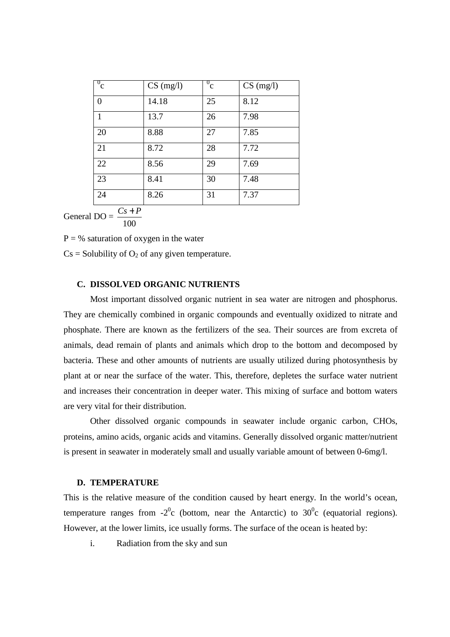| $\overline{0}_{\rm C}$ | $CS$ (mg/l) | $^{0}$ c | $CS$ (mg/l) |
|------------------------|-------------|----------|-------------|
| $\overline{0}$         | 14.18       | 25       | 8.12        |
| $\mathbf{1}$           | 13.7        | 26       | 7.98        |
| 20                     | 8.88        | 27       | 7.85        |
| 21                     | 8.72        | 28       | 7.72        |
| 22                     | 8.56        | 29       | 7.69        |
| 23                     | 8.41        | 30       | 7.48        |
| 24                     | 8.26        | 31       | 7.37        |

General  $DO =$ 100 *Cs* + *P*

 $P = \%$  saturation of oxygen in the water

 $Cs =$  Solubility of  $O_2$  of any given temperature.

#### **C. DISSOLVED ORGANIC NUTRIENTS**

Most important dissolved organic nutrient in sea water are nitrogen and phosphorus. They are chemically combined in organic compounds and eventually oxidized to nitrate and phosphate. There are known as the fertilizers of the sea. Their sources are from excreta of animals, dead remain of plants and animals which drop to the bottom and decomposed by bacteria. These and other amounts of nutrients are usually utilized during photosynthesis by plant at or near the surface of the water. This, therefore, depletes the surface water nutrient and increases their concentration in deeper water. This mixing of surface and bottom waters are very vital for their distribution.

Other dissolved organic compounds in seawater include organic carbon, CHOs, proteins, amino acids, organic acids and vitamins. Generally dissolved organic matter/nutrient is present in seawater in moderately small and usually variable amount of between 0-6mg/l.

#### **D. TEMPERATURE**

This is the relative measure of the condition caused by heart energy. In the world's ocean, temperature ranges from  $-2^0c$  (bottom, near the Antarctic) to  $30^0c$  (equatorial regions). However, at the lower limits, ice usually forms. The surface of the ocean is heated by:

i. Radiation from the sky and sun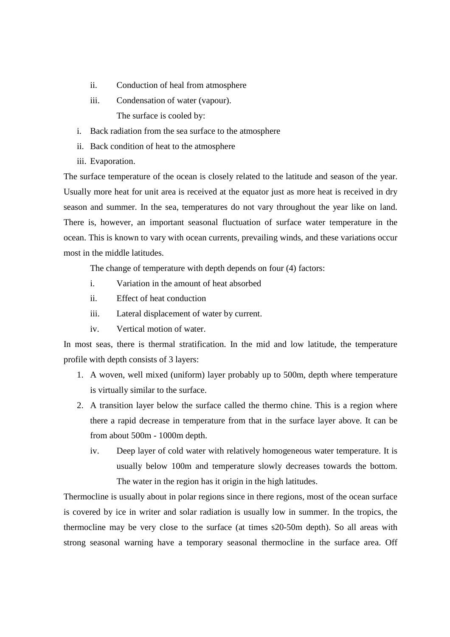- ii. Conduction of heal from atmosphere
- iii. Condensation of water (vapour). The surface is cooled by:

i. Back radiation from the sea surface to the atmosphere

- ii. Back condition of heat to the atmosphere
- iii. Evaporation.

The surface temperature of the ocean is closely related to the latitude and season of the year. Usually more heat for unit area is received at the equator just as more heat is received in dry season and summer. In the sea, temperatures do not vary throughout the year like on land. There is, however, an important seasonal fluctuation of surface water temperature in the ocean. This is known to vary with ocean currents, prevailing winds, and these variations occur most in the middle latitudes.

The change of temperature with depth depends on four (4) factors:

- i. Variation in the amount of heat absorbed
- ii. Effect of heat conduction
- iii. Lateral displacement of water by current.
- iv. Vertical motion of water.

In most seas, there is thermal stratification. In the mid and low latitude, the temperature profile with depth consists of 3 layers:

- 1. A woven, well mixed (uniform) layer probably up to 500m, depth where temperature is virtually similar to the surface.
- 2. A transition layer below the surface called the thermo chine. This is a region where there a rapid decrease in temperature from that in the surface layer above. It can be from about 500m - 1000m depth.
	- iv. Deep layer of cold water with relatively homogeneous water temperature. It is usually below 100m and temperature slowly decreases towards the bottom. The water in the region has it origin in the high latitudes.

Thermocline is usually about in polar regions since in there regions, most of the ocean surface is covered by ice in writer and solar radiation is usually low in summer. In the tropics, the thermocline may be very close to the surface (at times s20-50m depth). So all areas with strong seasonal warning have a temporary seasonal thermocline in the surface area. Off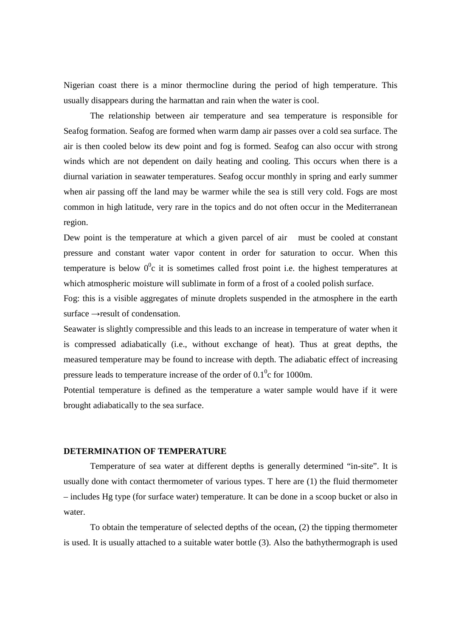Nigerian coast there is a minor thermocline during the period of high temperature. This usually disappears during the harmattan and rain when the water is cool.

 The relationship between air temperature and sea temperature is responsible for Seafog formation. Seafog are formed when warm damp air passes over a cold sea surface. The air is then cooled below its dew point and fog is formed. Seafog can also occur with strong winds which are not dependent on daily heating and cooling. This occurs when there is a diurnal variation in seawater temperatures. Seafog occur monthly in spring and early summer when air passing off the land may be warmer while the sea is still very cold. Fogs are most common in high latitude, very rare in the topics and do not often occur in the Mediterranean region.

Dew point is the temperature at which a given parcel of air must be cooled at constant pressure and constant water vapor content in order for saturation to occur. When this temperature is below  $0^0c$  it is sometimes called frost point i.e. the highest temperatures at which atmospheric moisture will sublimate in form of a frost of a cooled polish surface.

Fog: this is a visible aggregates of minute droplets suspended in the atmosphere in the earth surface →result of condensation.

Seawater is slightly compressible and this leads to an increase in temperature of water when it is compressed adiabatically (i.e., without exchange of heat). Thus at great depths, the measured temperature may be found to increase with depth. The adiabatic effect of increasing pressure leads to temperature increase of the order of  $0.1<sup>0</sup>c$  for 1000m.

Potential temperature is defined as the temperature a water sample would have if it were brought adiabatically to the sea surface.

## **DETERMINATION OF TEMPERATURE**

 Temperature of sea water at different depths is generally determined "in-site". It is usually done with contact thermometer of various types. T here are (1) the fluid thermometer – includes Hg type (for surface water) temperature. It can be done in a scoop bucket or also in water.

 To obtain the temperature of selected depths of the ocean, (2) the tipping thermometer is used. It is usually attached to a suitable water bottle (3). Also the bathythermograph is used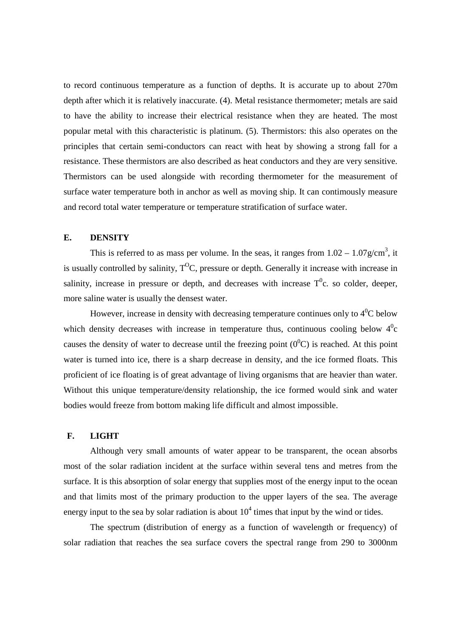to record continuous temperature as a function of depths. It is accurate up to about 270m depth after which it is relatively inaccurate. (4). Metal resistance thermometer; metals are said to have the ability to increase their electrical resistance when they are heated. The most popular metal with this characteristic is platinum. (5). Thermistors: this also operates on the principles that certain semi-conductors can react with heat by showing a strong fall for a resistance. These thermistors are also described as heat conductors and they are very sensitive. Thermistors can be used alongside with recording thermometer for the measurement of surface water temperature both in anchor as well as moving ship. It can contimously measure and record total water temperature or temperature stratification of surface water.

# **E. DENSITY**

This is referred to as mass per volume. In the seas, it ranges from  $1.02 - 1.07$  g/cm<sup>3</sup>, it is usually controlled by salinity,  $T^0C$ , pressure or depth. Generally it increase with increase in salinity, increase in pressure or depth, and decreases with increase  $T^0$ c. so colder, deeper, more saline water is usually the densest water.

However, increase in density with decreasing temperature continues only to  $4^0C$  below which density decreases with increase in temperature thus, continuous cooling below  $4^0c$ causes the density of water to decrease until the freezing point  $(0^0C)$  is reached. At this point water is turned into ice, there is a sharp decrease in density, and the ice formed floats. This proficient of ice floating is of great advantage of living organisms that are heavier than water. Without this unique temperature/density relationship, the ice formed would sink and water bodies would freeze from bottom making life difficult and almost impossible.

### **F. LIGHT**

Although very small amounts of water appear to be transparent, the ocean absorbs most of the solar radiation incident at the surface within several tens and metres from the surface. It is this absorption of solar energy that supplies most of the energy input to the ocean and that limits most of the primary production to the upper layers of the sea. The average energy input to the sea by solar radiation is about  $10^4$  times that input by the wind or tides.

 The spectrum (distribution of energy as a function of wavelength or frequency) of solar radiation that reaches the sea surface covers the spectral range from 290 to 3000nm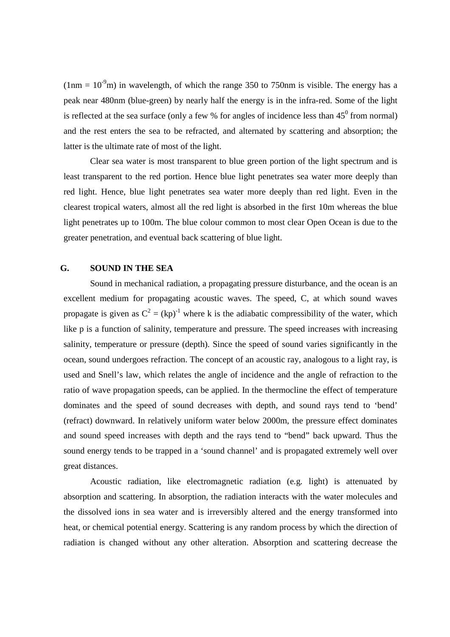$(1nm = 10<sup>-9</sup>m)$  in wavelength, of which the range 350 to 750nm is visible. The energy has a peak near 480nm (blue-green) by nearly half the energy is in the infra-red. Some of the light is reflected at the sea surface (only a few  $%$  for angles of incidence less than  $45^{\circ}$  from normal) and the rest enters the sea to be refracted, and alternated by scattering and absorption; the latter is the ultimate rate of most of the light.

 Clear sea water is most transparent to blue green portion of the light spectrum and is least transparent to the red portion. Hence blue light penetrates sea water more deeply than red light. Hence, blue light penetrates sea water more deeply than red light. Even in the clearest tropical waters, almost all the red light is absorbed in the first 10m whereas the blue light penetrates up to 100m. The blue colour common to most clear Open Ocean is due to the greater penetration, and eventual back scattering of blue light.

#### **G. SOUND IN THE SEA**

Sound in mechanical radiation, a propagating pressure disturbance, and the ocean is an excellent medium for propagating acoustic waves. The speed, C, at which sound waves propagate is given as  $C^2 = (kp)^{-1}$  where k is the adiabatic compressibility of the water, which like p is a function of salinity, temperature and pressure. The speed increases with increasing salinity, temperature or pressure (depth). Since the speed of sound varies significantly in the ocean, sound undergoes refraction. The concept of an acoustic ray, analogous to a light ray, is used and Snell's law, which relates the angle of incidence and the angle of refraction to the ratio of wave propagation speeds, can be applied. In the thermocline the effect of temperature dominates and the speed of sound decreases with depth, and sound rays tend to 'bend' (refract) downward. In relatively uniform water below 2000m, the pressure effect dominates and sound speed increases with depth and the rays tend to "bend" back upward. Thus the sound energy tends to be trapped in a 'sound channel' and is propagated extremely well over great distances.

 Acoustic radiation, like electromagnetic radiation (e.g. light) is attenuated by absorption and scattering. In absorption, the radiation interacts with the water molecules and the dissolved ions in sea water and is irreversibly altered and the energy transformed into heat, or chemical potential energy. Scattering is any random process by which the direction of radiation is changed without any other alteration. Absorption and scattering decrease the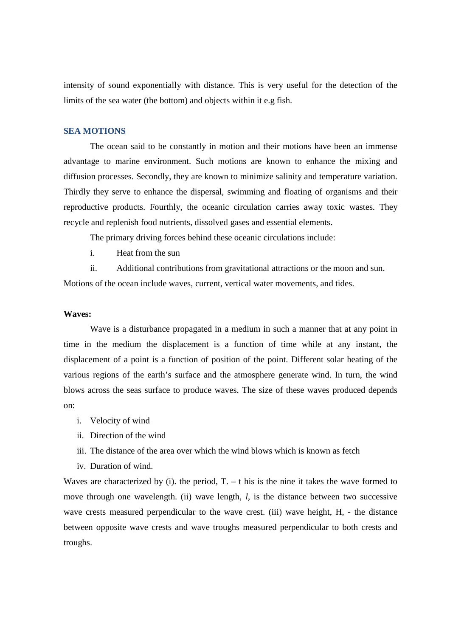intensity of sound exponentially with distance. This is very useful for the detection of the limits of the sea water (the bottom) and objects within it e.g fish.

#### **SEA MOTIONS**

The ocean said to be constantly in motion and their motions have been an immense advantage to marine environment. Such motions are known to enhance the mixing and diffusion processes. Secondly, they are known to minimize salinity and temperature variation. Thirdly they serve to enhance the dispersal, swimming and floating of organisms and their reproductive products. Fourthly, the oceanic circulation carries away toxic wastes. They recycle and replenish food nutrients, dissolved gases and essential elements.

The primary driving forces behind these oceanic circulations include:

i. Heat from the sun

ii. Additional contributions from gravitational attractions or the moon and sun.

Motions of the ocean include waves, current, vertical water movements, and tides.

#### **Waves:**

Wave is a disturbance propagated in a medium in such a manner that at any point in time in the medium the displacement is a function of time while at any instant, the displacement of a point is a function of position of the point. Different solar heating of the various regions of the earth's surface and the atmosphere generate wind. In turn, the wind blows across the seas surface to produce waves. The size of these waves produced depends on:

- i. Velocity of wind
- ii. Direction of the wind
- iii. The distance of the area over which the wind blows which is known as fetch
- iv. Duration of wind.

Waves are characterized by (i). the period,  $T - t$  his is the nine it takes the wave formed to move through one wavelength. (ii) wave length, *l*, is the distance between two successive wave crests measured perpendicular to the wave crest. (iii) wave height, H, - the distance between opposite wave crests and wave troughs measured perpendicular to both crests and troughs.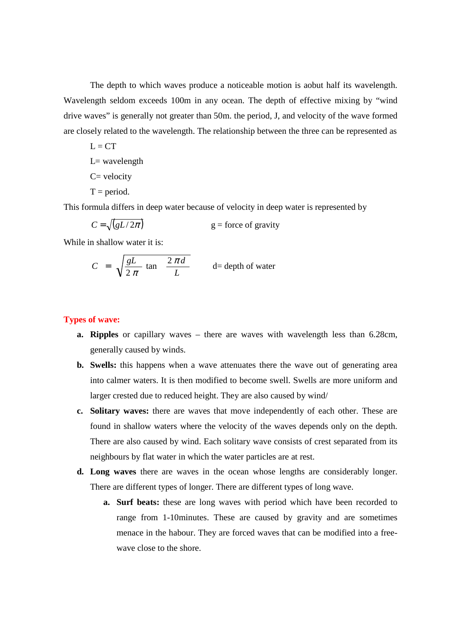The depth to which waves produce a noticeable motion is aobut half its wavelength. Wavelength seldom exceeds 100m in any ocean. The depth of effective mixing by "wind drive waves" is generally not greater than 50m. the period, J, and velocity of the wave formed are closely related to the wavelength. The relationship between the three can be represented as

 $L = CT$  $L=$  wavelength  $C = velocity$  $T = period.$ 

This formula differs in deep water because of velocity in deep water is represented by

 $C = \sqrt{gL/2\pi}$  $g =$  force of gravity

While in shallow water it is:

$$
C = \sqrt{\frac{gL}{2 \pi}} \tan \frac{2 \pi d}{L} \qquad d = \text{depth of water}
$$

# **Types of wave:**

- **a. Ripples** or capillary waves there are waves with wavelength less than 6.28cm, generally caused by winds.
- **b. Swells:** this happens when a wave attenuates there the wave out of generating area into calmer waters. It is then modified to become swell. Swells are more uniform and larger crested due to reduced height. They are also caused by wind/
- **c. Solitary waves:** there are waves that move independently of each other. These are found in shallow waters where the velocity of the waves depends only on the depth. There are also caused by wind. Each solitary wave consists of crest separated from its neighbours by flat water in which the water particles are at rest.
- **d. Long waves** there are waves in the ocean whose lengths are considerably longer. There are different types of longer. There are different types of long wave.
	- **a. Surf beats:** these are long waves with period which have been recorded to range from 1-10minutes. These are caused by gravity and are sometimes menace in the habour. They are forced waves that can be modified into a freewave close to the shore.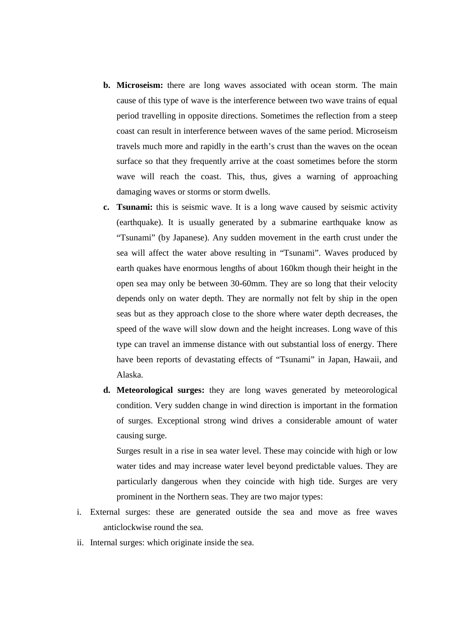- **b. Microseism:** there are long waves associated with ocean storm. The main cause of this type of wave is the interference between two wave trains of equal period travelling in opposite directions. Sometimes the reflection from a steep coast can result in interference between waves of the same period. Microseism travels much more and rapidly in the earth's crust than the waves on the ocean surface so that they frequently arrive at the coast sometimes before the storm wave will reach the coast. This, thus, gives a warning of approaching damaging waves or storms or storm dwells.
- **c. Tsunami:** this is seismic wave. It is a long wave caused by seismic activity (earthquake). It is usually generated by a submarine earthquake know as "Tsunami" (by Japanese). Any sudden movement in the earth crust under the sea will affect the water above resulting in "Tsunami". Waves produced by earth quakes have enormous lengths of about 160km though their height in the open sea may only be between 30-60mm. They are so long that their velocity depends only on water depth. They are normally not felt by ship in the open seas but as they approach close to the shore where water depth decreases, the speed of the wave will slow down and the height increases. Long wave of this type can travel an immense distance with out substantial loss of energy. There have been reports of devastating effects of "Tsunami" in Japan, Hawaii, and Alaska.
- **d. Meteorological surges:** they are long waves generated by meteorological condition. Very sudden change in wind direction is important in the formation of surges. Exceptional strong wind drives a considerable amount of water causing surge.

Surges result in a rise in sea water level. These may coincide with high or low water tides and may increase water level beyond predictable values. They are particularly dangerous when they coincide with high tide. Surges are very prominent in the Northern seas. They are two major types:

- i. External surges: these are generated outside the sea and move as free waves anticlockwise round the sea.
- ii. Internal surges: which originate inside the sea.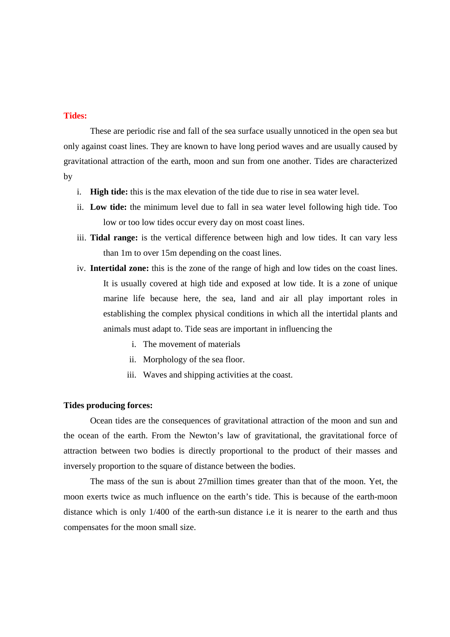#### **Tides:**

These are periodic rise and fall of the sea surface usually unnoticed in the open sea but only against coast lines. They are known to have long period waves and are usually caused by gravitational attraction of the earth, moon and sun from one another. Tides are characterized by

- i. **High tide:** this is the max elevation of the tide due to rise in sea water level.
- ii. **Low tide:** the minimum level due to fall in sea water level following high tide. Too low or too low tides occur every day on most coast lines.
- iii. **Tidal range:** is the vertical difference between high and low tides. It can vary less than 1m to over 15m depending on the coast lines.
- iv. **Intertidal zone:** this is the zone of the range of high and low tides on the coast lines. It is usually covered at high tide and exposed at low tide. It is a zone of unique marine life because here, the sea, land and air all play important roles in establishing the complex physical conditions in which all the intertidal plants and animals must adapt to. Tide seas are important in influencing the
	- i. The movement of materials
	- ii. Morphology of the sea floor.
	- iii. Waves and shipping activities at the coast.

#### **Tides producing forces:**

Ocean tides are the consequences of gravitational attraction of the moon and sun and the ocean of the earth. From the Newton's law of gravitational, the gravitational force of attraction between two bodies is directly proportional to the product of their masses and inversely proportion to the square of distance between the bodies.

 The mass of the sun is about 27million times greater than that of the moon. Yet, the moon exerts twice as much influence on the earth's tide. This is because of the earth-moon distance which is only 1/400 of the earth-sun distance i.e it is nearer to the earth and thus compensates for the moon small size.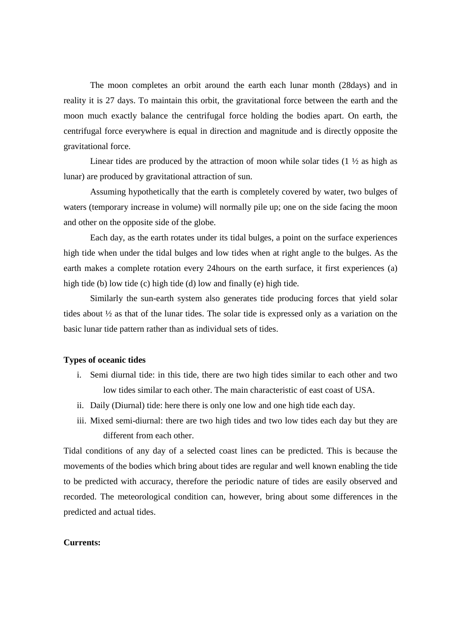The moon completes an orbit around the earth each lunar month (28days) and in reality it is 27 days. To maintain this orbit, the gravitational force between the earth and the moon much exactly balance the centrifugal force holding the bodies apart. On earth, the centrifugal force everywhere is equal in direction and magnitude and is directly opposite the gravitational force.

Linear tides are produced by the attraction of moon while solar tides  $(1 \frac{1}{2})$  as high as lunar) are produced by gravitational attraction of sun.

 Assuming hypothetically that the earth is completely covered by water, two bulges of waters (temporary increase in volume) will normally pile up; one on the side facing the moon and other on the opposite side of the globe.

 Each day, as the earth rotates under its tidal bulges, a point on the surface experiences high tide when under the tidal bulges and low tides when at right angle to the bulges. As the earth makes a complete rotation every 24hours on the earth surface, it first experiences (a) high tide (b) low tide (c) high tide (d) low and finally (e) high tide.

 Similarly the sun-earth system also generates tide producing forces that yield solar tides about  $\frac{1}{2}$  as that of the lunar tides. The solar tide is expressed only as a variation on the basic lunar tide pattern rather than as individual sets of tides.

## **Types of oceanic tides**

- i. Semi diurnal tide: in this tide, there are two high tides similar to each other and two low tides similar to each other. The main characteristic of east coast of USA.
- ii. Daily (Diurnal) tide: here there is only one low and one high tide each day.
- iii. Mixed semi-diurnal: there are two high tides and two low tides each day but they are different from each other.

Tidal conditions of any day of a selected coast lines can be predicted. This is because the movements of the bodies which bring about tides are regular and well known enabling the tide to be predicted with accuracy, therefore the periodic nature of tides are easily observed and recorded. The meteorological condition can, however, bring about some differences in the predicted and actual tides.

#### **Currents:**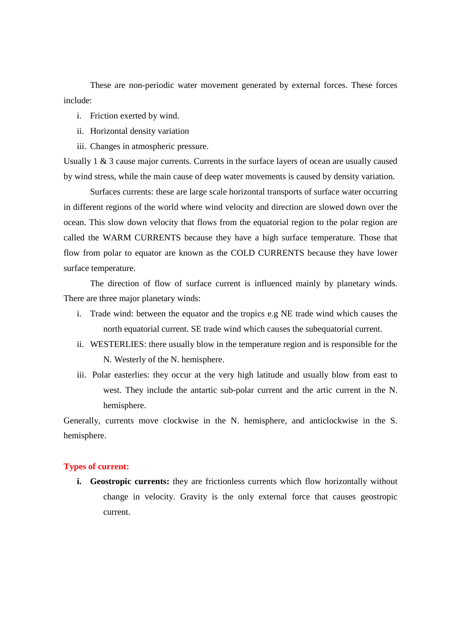These are non-periodic water movement generated by external forces. These forces include:

- i. Friction exerted by wind.
- ii. Horizontal density variation
- iii. Changes in atmospheric pressure.

Usually  $1 \& 3$  cause major currents. Currents in the surface layers of ocean are usually caused by wind stress, while the main cause of deep water movements is caused by density variation.

 Surfaces currents: these are large scale horizontal transports of surface water occurring in different regions of the world where wind velocity and direction are slowed down over the ocean. This slow down velocity that flows from the equatorial region to the polar region are called the WARM CURRENTS because they have a high surface temperature. Those that flow from polar to equator are known as the COLD CURRENTS because they have lower surface temperature.

 The direction of flow of surface current is influenced mainly by planetary winds. There are three major planetary winds:

- i. Trade wind: between the equator and the tropics e.g NE trade wind which causes the north equatorial current. SE trade wind which causes the subequatorial current.
- ii. WESTERLIES: there usually blow in the temperature region and is responsible for the N. Westerly of the N. hemisphere.
- iii. Polar easterlies: they occur at the very high latitude and usually blow from east to west. They include the antartic sub-polar current and the artic current in the N. hemisphere.

Generally, currents move clockwise in the N. hemisphere, and anticlockwise in the S. hemisphere.

#### **Types of current:**

**i. Geostropic currents:** they are frictionless currents which flow horizontally without change in velocity. Gravity is the only external force that causes geostropic current.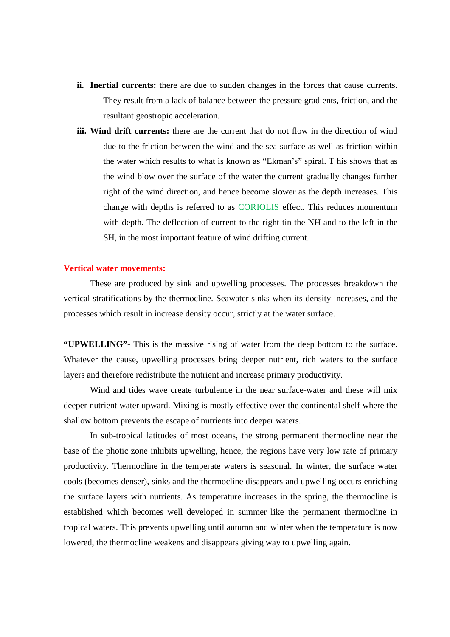- **ii. Inertial currents:** there are due to sudden changes in the forces that cause currents. They result from a lack of balance between the pressure gradients, friction, and the resultant geostropic acceleration.
- **iii. Wind drift currents:** there are the current that do not flow in the direction of wind due to the friction between the wind and the sea surface as well as friction within the water which results to what is known as "Ekman's" spiral. T his shows that as the wind blow over the surface of the water the current gradually changes further right of the wind direction, and hence become slower as the depth increases. This change with depths is referred to as CORIOLIS effect. This reduces momentum with depth. The deflection of current to the right tin the NH and to the left in the SH, in the most important feature of wind drifting current.

#### **Vertical water movements:**

These are produced by sink and upwelling processes. The processes breakdown the vertical stratifications by the thermocline. Seawater sinks when its density increases, and the processes which result in increase density occur, strictly at the water surface.

**"UPWELLING"-** This is the massive rising of water from the deep bottom to the surface. Whatever the cause, upwelling processes bring deeper nutrient, rich waters to the surface layers and therefore redistribute the nutrient and increase primary productivity.

 Wind and tides wave create turbulence in the near surface-water and these will mix deeper nutrient water upward. Mixing is mostly effective over the continental shelf where the shallow bottom prevents the escape of nutrients into deeper waters.

 In sub-tropical latitudes of most oceans, the strong permanent thermocline near the base of the photic zone inhibits upwelling, hence, the regions have very low rate of primary productivity. Thermocline in the temperate waters is seasonal. In winter, the surface water cools (becomes denser), sinks and the thermocline disappears and upwelling occurs enriching the surface layers with nutrients. As temperature increases in the spring, the thermocline is established which becomes well developed in summer like the permanent thermocline in tropical waters. This prevents upwelling until autumn and winter when the temperature is now lowered, the thermocline weakens and disappears giving way to upwelling again.